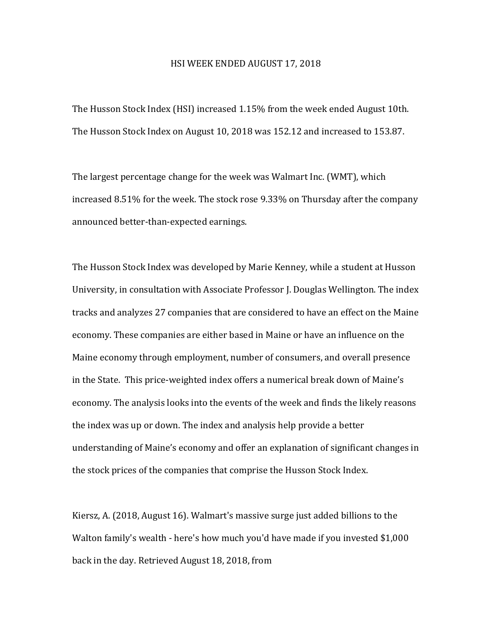## HSI WEEK ENDED AUGUST 17, 2018

The Husson Stock Index (HSI) increased 1.15% from the week ended August 10th. The Husson Stock Index on August 10, 2018 was 152.12 and increased to 153.87.

The largest percentage change for the week was Walmart Inc. (WMT), which increased  $8.51\%$  for the week. The stock rose  $9.33\%$  on Thursday after the company announced better-than-expected earnings.

The Husson Stock Index was developed by Marie Kenney, while a student at Husson University, in consultation with Associate Professor J. Douglas Wellington. The index tracks and analyzes 27 companies that are considered to have an effect on the Maine economy. These companies are either based in Maine or have an influence on the Maine economy through employment, number of consumers, and overall presence in the State. This price-weighted index offers a numerical break down of Maine's economy. The analysis looks into the events of the week and finds the likely reasons the index was up or down. The index and analysis help provide a better understanding of Maine's economy and offer an explanation of significant changes in the stock prices of the companies that comprise the Husson Stock Index.

Kiersz, A. (2018, August 16). Walmart's massive surge just added billions to the Walton family's wealth - here's how much you'd have made if you invested \$1,000 back in the day. Retrieved August 18, 2018, from